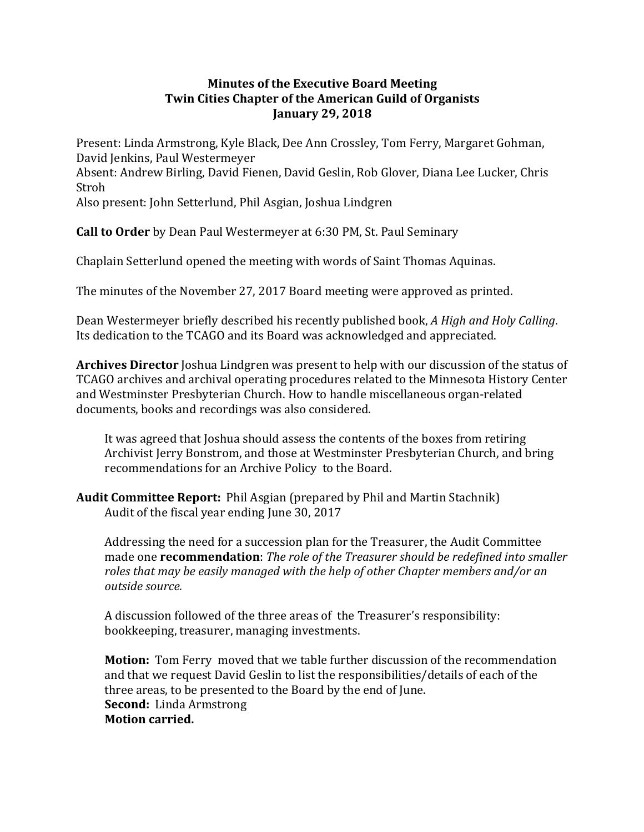## **Minutes of the Executive Board Meeting Twin Cities Chapter of the American Guild of Organists January 29, 2018**

Present: Linda Armstrong, Kyle Black, Dee Ann Crossley, Tom Ferry, Margaret Gohman, David Jenkins, Paul Westermeyer Absent: Andrew Birling, David Fienen, David Geslin, Rob Glover, Diana Lee Lucker, Chris Stroh Also present: John Setterlund, Phil Asgian, Joshua Lindgren

**Call to Order** by Dean Paul Westermeyer at 6:30 PM, St. Paul Seminary

Chaplain Setterlund opened the meeting with words of Saint Thomas Aquinas.

The minutes of the November 27, 2017 Board meeting were approved as printed.

Dean Westermeyer briefly described his recently published book, *A High and Holy Calling*. Its dedication to the TCAGO and its Board was acknowledged and appreciated.

**Archives Director** Joshua Lindgren was present to help with our discussion of the status of TCAGO archives and archival operating procedures related to the Minnesota History Center and Westminster Presbyterian Church. How to handle miscellaneous organ-related documents, books and recordings was also considered.

It was agreed that Joshua should assess the contents of the boxes from retiring Archivist Jerry Bonstrom, and those at Westminster Presbyterian Church, and bring recommendations for an Archive Policy to the Board.

**Audit Committee Report:** Phil Asgian (prepared by Phil and Martin Stachnik) Audit of the fiscal year ending June 30, 2017

Addressing the need for a succession plan for the Treasurer, the Audit Committee made one **recommendation**: The role of the Treasurer should be redefined into smaller *roles that may be easily managed with the help of other Chapter members and/or an outside source.* 

A discussion followed of the three areas of the Treasurer's responsibility: bookkeeping, treasurer, managing investments.

**Motion:** Tom Ferry moved that we table further discussion of the recommendation and that we request David Geslin to list the responsibilities/details of each of the three areas, to be presented to the Board by the end of June. **Second:** Linda Armstrong **Motion carried.**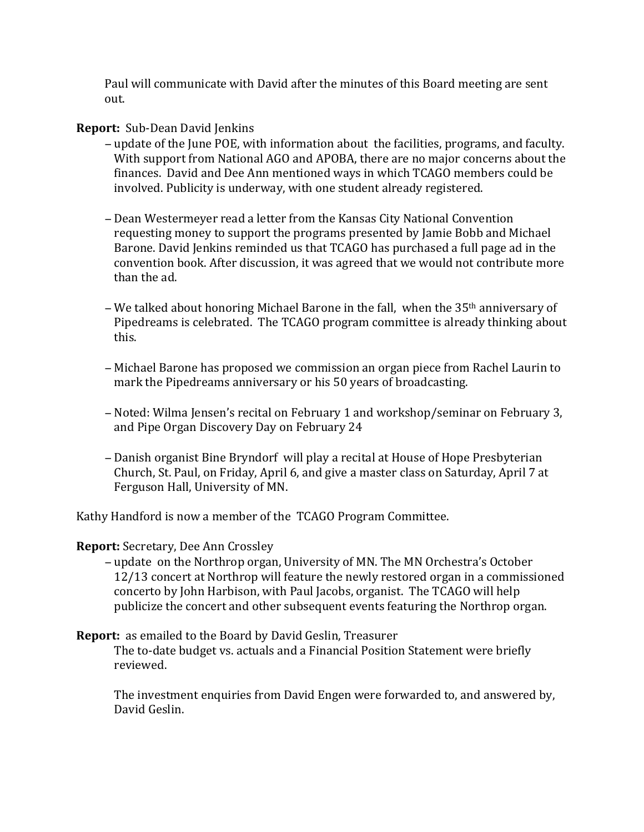Paul will communicate with David after the minutes of this Board meeting are sent out.

## **Report:** Sub-Dean David Jenkins

- update of the June POE, with information about the facilities, programs, and faculty. With support from National AGO and APOBA, there are no major concerns about the finances. David and Dee Ann mentioned ways in which TCAGO members could be involved. Publicity is underway, with one student already registered.
- − Dean Westermeyer read a letter from the Kansas City National Convention requesting money to support the programs presented by Jamie Bobb and Michael Barone. David Jenkins reminded us that TCAGO has purchased a full page ad in the convention book. After discussion, it was agreed that we would not contribute more than the ad.
- − We talked about honoring Michael Barone in the fall, when the 35<sup>th</sup> anniversary of Pipedreams is celebrated. The TCAGO program committee is already thinking about this.
- − Michael Barone has proposed we commission an organ piece from Rachel Laurin to mark the Pipedreams anniversary or his 50 years of broadcasting.
- − Noted: Wilma Jensen's recital on February 1 and workshop/seminar on February 3, and Pipe Organ Discovery Day on February 24
- − Danish organist Bine Bryndorf will play a recital at House of Hope Presbyterian Church, St. Paul, on Friday, April 6, and give a master class on Saturday, April 7 at Ferguson Hall, University of MN.

Kathy Handford is now a member of the TCAGO Program Committee.

## **Report:** Secretary, Dee Ann Crossley

- − update on the Northrop organ, University of MN. The MN Orchestra's October 12/13 concert at Northrop will feature the newly restored organ in a commissioned concerto by John Harbison, with Paul Jacobs, organist. The TCAGO will help publicize the concert and other subsequent events featuring the Northrop organ.
- **Report:** as emailed to the Board by David Geslin, Treasurer The to-date budget vs. actuals and a Financial Position Statement were briefly reviewed.

The investment enquiries from David Engen were forwarded to, and answered by, David Geslin.